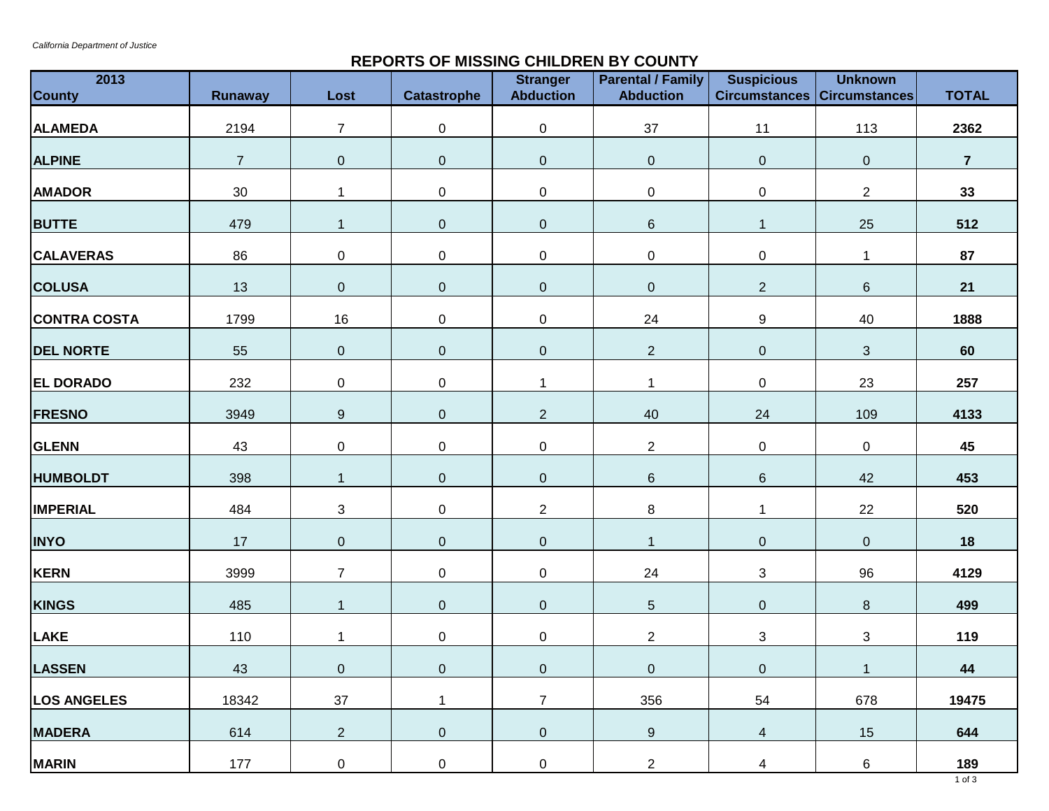## **REPORTS OF MISSING CHILDREN BY COUNTY**

| 2013<br><b>County</b> | Runaway        | Lost             | <b>Catastrophe</b> | <b>Stranger</b><br><b>Abduction</b> | <b>Parental / Family</b><br><b>Abduction</b> | <b>Suspicious</b><br><b>Circumstances Circumstances</b> | <b>Unknown</b>   | <b>TOTAL</b>   |
|-----------------------|----------------|------------------|--------------------|-------------------------------------|----------------------------------------------|---------------------------------------------------------|------------------|----------------|
| <b>ALAMEDA</b>        | 2194           | $\overline{7}$   | $\boldsymbol{0}$   | $\pmb{0}$                           | 37                                           | 11                                                      | 113              | 2362           |
| <b>ALPINE</b>         | $\overline{7}$ | $\pmb{0}$        | $\overline{0}$     | $\pmb{0}$                           | $\pmb{0}$                                    | $\pmb{0}$                                               | $\pmb{0}$        | $\overline{7}$ |
| <b>AMADOR</b>         | $30\,$         | $\mathbf{1}$     | 0                  | $\pmb{0}$                           | $\pmb{0}$                                    | 0                                                       | $\overline{c}$   | 33             |
| <b>BUTTE</b>          | 479            | $\mathbf{1}$     | 0                  | $\mathbf 0$                         | $\,6$                                        | $\mathbf{1}$                                            | 25               | 512            |
| <b>CALAVERAS</b>      | 86             | $\pmb{0}$        | 0                  | $\pmb{0}$                           | $\mathsf 0$                                  | 0                                                       | $\mathbf{1}$     | 87             |
| <b>COLUSA</b>         | 13             | $\pmb{0}$        | $\overline{0}$     | $\mathbf 0$                         | $\mathbf 0$                                  | $\overline{2}$                                          | $\,6\,$          | 21             |
| <b>CONTRA COSTA</b>   | 1799           | 16               | 0                  | $\pmb{0}$                           | 24                                           | 9                                                       | 40               | 1888           |
| <b>DEL NORTE</b>      | 55             | $\pmb{0}$        | $\overline{0}$     | $\pmb{0}$                           | $\overline{2}$                               | $\pmb{0}$                                               | $\mathfrak{S}$   | 60             |
| <b>EL DORADO</b>      | 232            | $\pmb{0}$        | 0                  | 1                                   |                                              | 0                                                       | 23               | 257            |
| <b>FRESNO</b>         | 3949           | $\boldsymbol{9}$ | 0                  | $\overline{2}$                      | 40                                           | 24                                                      | 109              | 4133           |
| <b>GLENN</b>          | 43             | $\pmb{0}$        | $\boldsymbol{0}$   | $\pmb{0}$                           | $\overline{2}$                               | $\boldsymbol{0}$                                        | $\boldsymbol{0}$ | 45             |
| <b>HUMBOLDT</b>       | 398            | $\mathbf{1}$     | 0                  | $\pmb{0}$                           | $6\phantom{1}$                               | 6                                                       | 42               | 453            |
| <b>IMPERIAL</b>       | 484            | 3                | 0                  | $\overline{2}$                      | 8                                            | 1                                                       | 22               | 520            |
| <b>INYO</b>           | 17             | $\mathbf 0$      | 0                  | $\pmb{0}$                           | 1                                            | $\boldsymbol{0}$                                        | $\pmb{0}$        | 18             |
| <b>KERN</b>           | 3999           | $\overline{7}$   | 0                  | $\pmb{0}$                           | 24                                           | 3                                                       | 96               | 4129           |
| <b>KINGS</b>          | 485            | $\mathbf{1}$     | 0                  | $\pmb{0}$                           | $5\phantom{.0}$                              | $\overline{0}$                                          | 8                | 499            |
| <b>LAKE</b>           | 110            | $\mathbf{1}$     | 0                  | $\pmb{0}$                           | $\overline{2}$                               | 3                                                       | 3                | 119            |
| <b>LASSEN</b>         | 43             | $\mathbf 0$      | $\overline{0}$     | $\mathbf 0$                         | $\overline{0}$                               | $\overline{0}$                                          | $\mathbf{1}$     | 44             |
| <b>LOS ANGELES</b>    | 18342          | 37               | $\mathbf{1}$       | $\overline{7}$                      | 356                                          | 54                                                      | 678              | 19475          |
| <b>MADERA</b>         | 614            | $\overline{2}$   | $\boldsymbol{0}$   | $\boldsymbol{0}$                    | 9                                            | $\overline{4}$                                          | 15               | 644            |
| <b>MARIN</b>          | 177            | $\boldsymbol{0}$ | 0                  | $\boldsymbol{0}$                    | $\overline{a}$                               | $\overline{4}$                                          | 6                | 189            |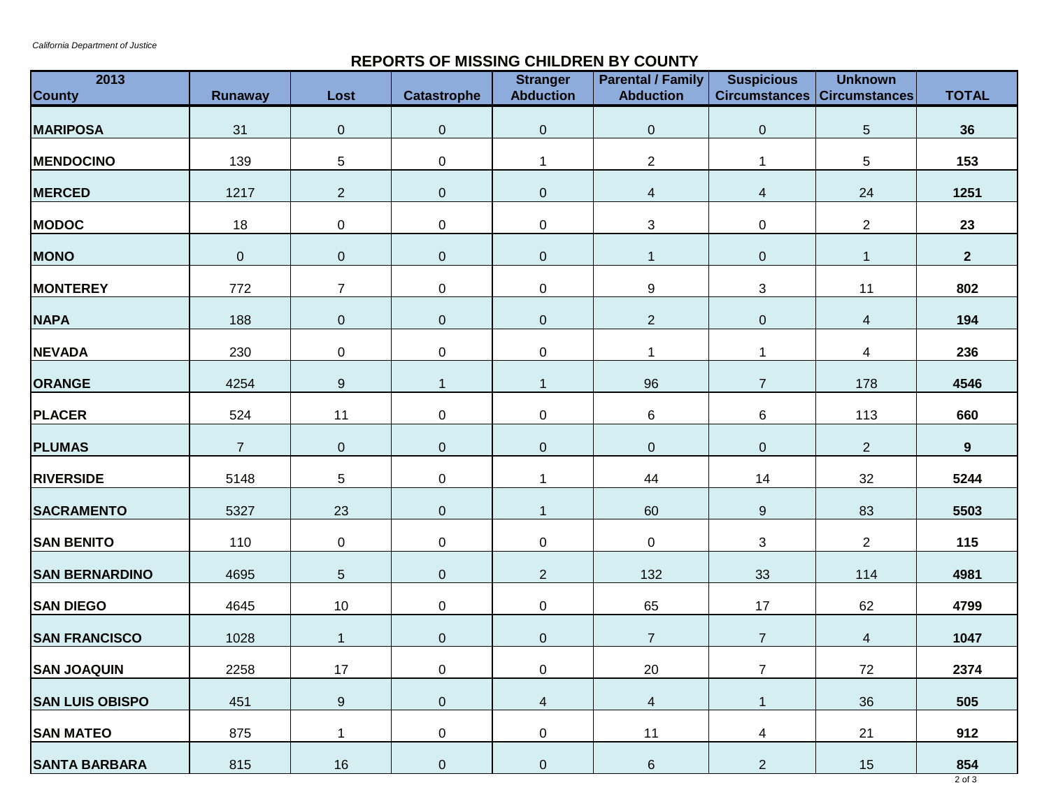## **REPORTS OF MISSING CHILDREN BY COUNTY**

| 2013<br><b>County</b>  | Runaway        | Lost             | Catastrophe      | <b>Stranger</b><br><b>Abduction</b> | <b>Parental / Family</b><br><b>Abduction</b> | <b>Suspicious</b><br><b>Circumstances Circumstances</b> | <b>Unknown</b>           | <b>TOTAL</b> |
|------------------------|----------------|------------------|------------------|-------------------------------------|----------------------------------------------|---------------------------------------------------------|--------------------------|--------------|
| <b>MARIPOSA</b>        | 31             | $\pmb{0}$        | $\overline{0}$   | $\boldsymbol{0}$                    | $\overline{0}$                               | $\overline{0}$                                          | $5\,$                    | 36           |
| <b>MENDOCINO</b>       | 139            | $\sqrt{5}$       | 0                | 1                                   | $\mathbf{2}$                                 | 1                                                       | 5                        | 153          |
| <b>MERCED</b>          | 1217           | $\overline{2}$   | $\overline{0}$   | $\pmb{0}$                           | 4                                            | 4                                                       | 24                       | 1251         |
| <b>MODOC</b>           | 18             | $\pmb{0}$        | 0                | $\pmb{0}$                           | $\sqrt{3}$                                   | 0                                                       | $\overline{2}$           | 23           |
| <b>MONO</b>            | $\overline{0}$ | $\pmb{0}$        | $\overline{0}$   | $\mathbf 0$                         | $\mathbf{1}$                                 | $\mathbf 0$                                             | $\mathbf{1}$             | $\mathbf{2}$ |
| <b>MONTEREY</b>        | 772            | $\overline{7}$   | 0                | $\pmb{0}$                           | 9                                            | 3                                                       | 11                       | 802          |
| <b>NAPA</b>            | 188            | $\pmb{0}$        | $\overline{0}$   | $\mathbf 0$                         | $\overline{2}$                               | $\pmb{0}$                                               | $\overline{4}$           | 194          |
| <b>NEVADA</b>          | 230            | $\pmb{0}$        | 0                | $\pmb{0}$                           | $\mathbf 1$                                  | 1                                                       | $\overline{\mathcal{A}}$ | 236          |
| <b>ORANGE</b>          | 4254           | $\boldsymbol{9}$ | $\mathbf{1}$     | $\overline{1}$                      | 96                                           | $\overline{7}$                                          | 178                      | 4546         |
| <b>PLACER</b>          | 524            | 11               | 0                | $\pmb{0}$                           | 6                                            | 6                                                       | 113                      | 660          |
| <b>PLUMAS</b>          | $\overline{7}$ | $\pmb{0}$        | $\mathbf 0$      | $\mathbf 0$                         | $\mathbf 0$                                  | $\pmb{0}$                                               | $\overline{2}$           | 9            |
| <b>RIVERSIDE</b>       | 5148           | 5                | 0                | 1                                   | 44                                           | 14                                                      | 32                       | 5244         |
| <b>SACRAMENTO</b>      | 5327           | 23               | $\mathbf 0$      | $\overline{1}$                      | 60                                           | $\boldsymbol{9}$                                        | 83                       | 5503         |
| <b>SAN BENITO</b>      | 110            | $\pmb{0}$        | 0                | $\pmb{0}$                           | $\mathbf 0$                                  | 3                                                       | $\overline{2}$           | 115          |
| <b>SAN BERNARDINO</b>  | 4695           | $\sqrt{5}$       | $\overline{0}$   | $\mathbf{2}$                        | 132                                          | 33                                                      | 114                      | 4981         |
| <b>SAN DIEGO</b>       | 4645           | 10               | 0                | $\mathsf 0$                         | 65                                           | 17                                                      | 62                       | 4799         |
| <b>SAN FRANCISCO</b>   | 1028           | $\mathbf{1}$     | $\overline{0}$   | $\pmb{0}$                           | $\overline{7}$                               | $\overline{7}$                                          | $\overline{4}$           | 1047         |
| <b>SAN JOAQUIN</b>     | 2258           | $17$             | $\overline{0}$   | $\overline{0}$                      | 20                                           | $\overline{7}$                                          | $72\,$                   | 2374         |
| <b>SAN LUIS OBISPO</b> | 451            | $\boldsymbol{9}$ | $\mathbf 0$      | $\overline{4}$                      | $\overline{4}$                               | $\mathbf{1}$                                            | 36                       | 505          |
| <b>SAN MATEO</b>       | 875            | $\mathbf{1}$     | 0                | 0                                   | 11                                           | $\overline{4}$                                          | 21                       | 912          |
| <b>SANTA BARBARA</b>   | 815            | 16               | $\boldsymbol{0}$ | $\overline{0}$                      | $6\phantom{.}$                               | $\overline{2}$                                          | 15                       | 854          |